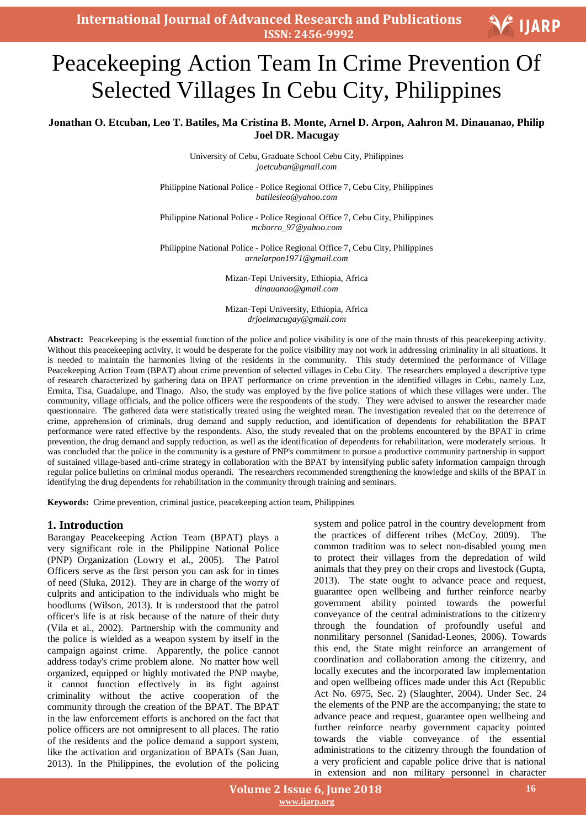# Peacekeeping Action Team In Crime Prevention Of Selected Villages In Cebu City, Philippines

# **Jonathan O. Etcuban, Leo T. Batiles, Ma Cristina B. Monte, Arnel D. Arpon, Aahron M. Dinauanao, Philip Joel DR. Macugay**

University of Cebu, Graduate School Cebu City, Philippines *joetcuban@gmail.com*

Philippine National Police - Police Regional Office 7, Cebu City, Philippines *batilesleo@yahoo.com*

Philippine National Police - Police Regional Office 7, Cebu City, Philippines *mcborro\_97@yahoo.com*

Philippine National Police - Police Regional Office 7, Cebu City, Philippines *arnelarpon1971@gmail.com*

> Mizan-Tepi University, Ethiopia, Africa *dinauanao@gmail.com*

> Mizan-Tepi University, Ethiopia, Africa *drjoelmacugay@gmail.com*

Abstract: Peacekeeping is the essential function of the police and police visibility is one of the main thrusts of this peacekeeping activity. Without this peacekeeping activity, it would be desperate for the police visibility may not work in addressing criminality in all situations. It is needed to maintain the harmonies living of the residents in the community. This study determined the performance of Village Peacekeeping Action Team (BPAT) about crime prevention of selected villages in Cebu City. The researchers employed a descriptive type of research characterized by gathering data on BPAT performance on crime prevention in the identified villages in Cebu, namely Luz, Ermita, Tisa, Guadalupe, and Tinago. Also, the study was employed by the five police stations of which these villages were under. The community, village officials, and the police officers were the respondents of the study. They were advised to answer the researcher made questionnaire. The gathered data were statistically treated using the weighted mean. The investigation revealed that on the deterrence of crime, apprehension of criminals, drug demand and supply reduction, and identification of dependents for rehabilitation the BPAT performance were rated effective by the respondents. Also, the study revealed that on the problems encountered by the BPAT in crime prevention, the drug demand and supply reduction, as well as the identification of dependents for rehabilitation, were moderately serious. It was concluded that the police in the community is a gesture of PNP's commitment to pursue a productive community partnership in support of sustained village-based anti-crime strategy in collaboration with the BPAT by intensifying public safety information campaign through regular police bulletins on criminal modus operandi. The researchers recommended strengthening the knowledge and skills of the BPAT in identifying the drug dependents for rehabilitation in the community through training and seminars.

**Keywords:** Crime prevention, criminal justice, peacekeeping action team, Philippines

#### **1. Introduction**

Barangay Peacekeeping Action Team (BPAT) plays a very significant role in the Philippine National Police (PNP) Organization (Lowry et al., 2005). The Patrol Officers serve as the first person you can ask for in times of need (Sluka, 2012). They are in charge of the worry of culprits and anticipation to the individuals who might be hoodlums (Wilson, 2013). It is understood that the patrol officer's life is at risk because of the nature of their duty (Vila et al., 2002). Partnership with the community and the police is wielded as a weapon system by itself in the campaign against crime. Apparently, the police cannot address today's crime problem alone. No matter how well organized, equipped or highly motivated the PNP maybe, it cannot function effectively in its fight against criminality without the active cooperation of the community through the creation of the BPAT. The BPAT in the law enforcement efforts is anchored on the fact that police officers are not omnipresent to all places. The ratio of the residents and the police demand a support system, like the activation and organization of BPATs (San Juan, 2013). In the Philippines, the evolution of the policing system and police patrol in the country development from the practices of different tribes (McCoy, 2009). The common tradition was to select non-disabled young men to protect their villages from the depredation of wild animals that they prey on their crops and livestock (Gupta, 2013). The state ought to advance peace and request, guarantee open wellbeing and further reinforce nearby government ability pointed towards the powerful conveyance of the central administrations to the citizenry through the foundation of profoundly useful and nonmilitary personnel (Sanidad-Leones, 2006). Towards this end, the State might reinforce an arrangement of coordination and collaboration among the citizenry, and locally executes and the incorporated law implementation and open wellbeing offices made under this Act (Republic Act No. 6975, Sec. 2) (Slaughter, 2004). Under Sec. 24 the elements of the PNP are the accompanying; the state to advance peace and request, guarantee open wellbeing and further reinforce nearby government capacity pointed towards the viable conveyance of the essential administrations to the citizenry through the foundation of a very proficient and capable police drive that is national in extension and non military personnel in character

V IJARP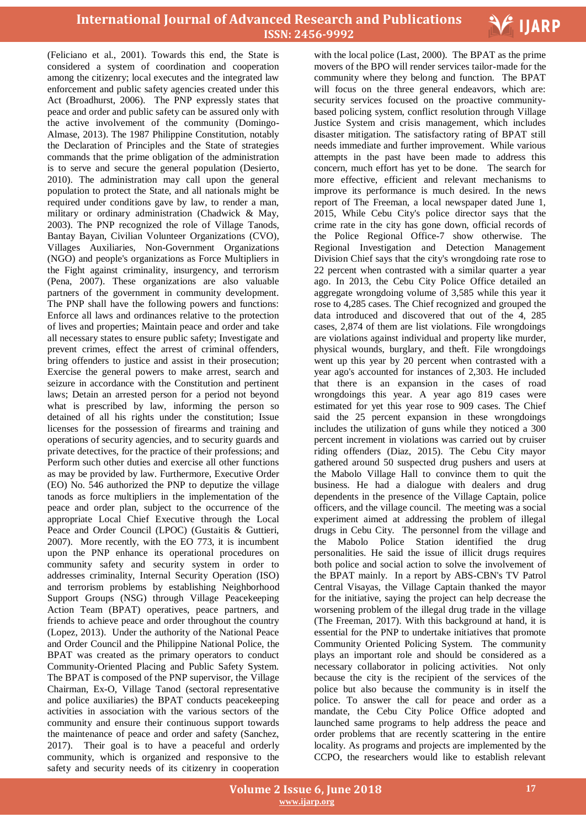

(Feliciano et al., 2001). Towards this end, the State is considered a system of coordination and cooperation among the citizenry; local executes and the integrated law enforcement and public safety agencies created under this Act (Broadhurst, 2006). The PNP expressly states that peace and order and public safety can be assured only with the active involvement of the community (Domingo-Almase, 2013). The 1987 Philippine Constitution, notably the Declaration of Principles and the State of strategies commands that the prime obligation of the administration is to serve and secure the general population (Desierto, 2010). The administration may call upon the general population to protect the State, and all nationals might be required under conditions gave by law, to render a man, military or ordinary administration (Chadwick & May, 2003). The PNP recognized the role of Village Tanods, Bantay Bayan, Civilian Volunteer Organizations (CVO), Villages Auxiliaries, Non-Government Organizations (NGO) and people's organizations as Force Multipliers in the Fight against criminality, insurgency, and terrorism (Pena, 2007). These organizations are also valuable partners of the government in community development. The PNP shall have the following powers and functions: Enforce all laws and ordinances relative to the protection of lives and properties; Maintain peace and order and take all necessary states to ensure public safety; Investigate and prevent crimes, effect the arrest of criminal offenders, bring offenders to justice and assist in their prosecution; Exercise the general powers to make arrest, search and seizure in accordance with the Constitution and pertinent laws; Detain an arrested person for a period not beyond what is prescribed by law, informing the person so detained of all his rights under the constitution; Issue licenses for the possession of firearms and training and operations of security agencies, and to security guards and private detectives, for the practice of their professions; and Perform such other duties and exercise all other functions as may be provided by law. Furthermore, Executive Order (EO) No. 546 authorized the PNP to deputize the village tanods as force multipliers in the implementation of the peace and order plan, subject to the occurrence of the appropriate Local Chief Executive through the Local Peace and Order Council (LPOC) (Gustaitis & Guttieri, 2007). More recently, with the EO 773, it is incumbent upon the PNP enhance its operational procedures on community safety and security system in order to addresses criminality, Internal Security Operation (ISO) and terrorism problems by establishing Neighborhood Support Groups (NSG) through Village Peacekeeping Action Team (BPAT) operatives, peace partners, and friends to achieve peace and order throughout the country (Lopez, 2013). Under the authority of the National Peace and Order Council and the Philippine National Police, the BPAT was created as the primary operators to conduct Community-Oriented Placing and Public Safety System. The BPAT is composed of the PNP supervisor, the Village Chairman, Ex-O, Village Tanod (sectoral representative and police auxiliaries) the BPAT conducts peacekeeping activities in association with the various sectors of the community and ensure their continuous support towards the maintenance of peace and order and safety (Sanchez, 2017). Their goal is to have a peaceful and orderly community, which is organized and responsive to the safety and security needs of its citizenry in cooperation

 with the local police (Last, 2000). The BPAT as the prime movers of the BPO will render services tailor-made for the community where they belong and function. The BPAT will focus on the three general endeavors, which are: security services focused on the proactive communitybased policing system, conflict resolution through Village Justice System and crisis management, which includes disaster mitigation. The satisfactory rating of BPAT still needs immediate and further improvement. While various attempts in the past have been made to address this concern, much effort has yet to be done. The search for more effective, efficient and relevant mechanisms to improve its performance is much desired. In the news report of The Freeman, a local newspaper dated June 1, 2015, While Cebu City's police director says that the crime rate in the city has gone down, official records of the Police Regional Office-7 show otherwise. The Regional Investigation and Detection Management Division Chief says that the city's wrongdoing rate rose to 22 percent when contrasted with a similar quarter a year ago. In 2013, the Cebu City Police Office detailed an aggregate wrongdoing volume of 3,585 while this year it rose to 4,285 cases. The Chief recognized and grouped the data introduced and discovered that out of the 4, 285 cases, 2,874 of them are list violations. File wrongdoings are violations against individual and property like murder, physical wounds, burglary, and theft. File wrongdoings went up this year by 20 percent when contrasted with a year ago's accounted for instances of 2,303. He included that there is an expansion in the cases of road wrongdoings this year. A year ago 819 cases were estimated for yet this year rose to 909 cases. The Chief said the 25 percent expansion in these wrongdoings includes the utilization of guns while they noticed a 300 percent increment in violations was carried out by cruiser riding offenders (Diaz, 2015). The Cebu City mayor gathered around 50 suspected drug pushers and users at the Mabolo Village Hall to convince them to quit the business. He had a dialogue with dealers and drug dependents in the presence of the Village Captain, police officers, and the village council. The meeting was a social experiment aimed at addressing the problem of illegal drugs in Cebu City. The personnel from the village and the Mabolo Police Station identified the drug personalities. He said the issue of illicit drugs requires both police and social action to solve the involvement of the BPAT mainly. In a report by ABS-CBN's TV Patrol Central Visayas, the Village Captain thanked the mayor for the initiative, saying the project can help decrease the worsening problem of the illegal drug trade in the village (The Freeman, 2017). With this background at hand, it is essential for the PNP to undertake initiatives that promote Community Oriented Policing System. The community plays an important role and should be considered as a necessary collaborator in policing activities. Not only because the city is the recipient of the services of the police but also because the community is in itself the police. To answer the call for peace and order as a mandate, the Cebu City Police Office adopted and launched same programs to help address the peace and order problems that are recently scattering in the entire locality. As programs and projects are implemented by the CCPO, the researchers would like to establish relevant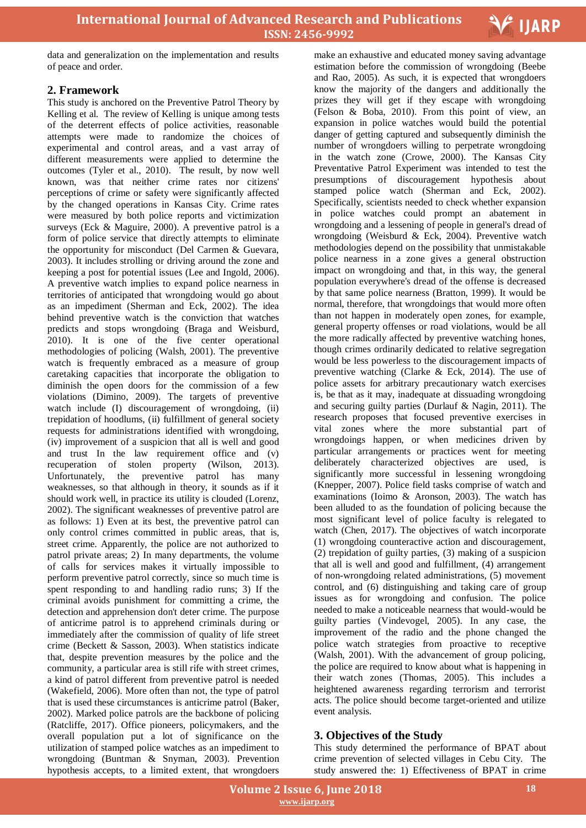

data and generalization on the implementation and results of peace and order.

## **2. Framework**

This study is anchored on the Preventive Patrol Theory by Kelling et al. The review of Kelling is unique among tests of the deterrent effects of police activities, reasonable attempts were made to randomize the choices of experimental and control areas, and a vast array of different measurements were applied to determine the outcomes (Tyler et al., 2010). The result, by now well known, was that neither crime rates nor citizens' perceptions of crime or safety were significantly affected by the changed operations in Kansas City. Crime rates were measured by both police reports and victimization surveys (Eck & Maguire, 2000). A preventive patrol is a form of police service that directly attempts to eliminate the opportunity for misconduct (Del Carmen & Guevara, 2003). It includes strolling or driving around the zone and keeping a post for potential issues (Lee and Ingold, 2006). A preventive watch implies to expand police nearness in territories of anticipated that wrongdoing would go about as an impediment (Sherman and Eck, 2002). The idea behind preventive watch is the conviction that watches predicts and stops wrongdoing (Braga and Weisburd, 2010). It is one of the five center operational methodologies of policing (Walsh, 2001). The preventive watch is frequently embraced as a measure of group caretaking capacities that incorporate the obligation to diminish the open doors for the commission of a few violations (Dimino, 2009). The targets of preventive watch include (I) discouragement of wrongdoing, (ii) trepidation of hoodlums, (ii) fulfillment of general society requests for administrations identified with wrongdoing, (iv) improvement of a suspicion that all is well and good and trust In the law requirement office and (v) recuperation of stolen property (Wilson, 2013). Unfortunately, the preventive patrol has many weaknesses, so that although in theory, it sounds as if it should work well, in practice its utility is clouded (Lorenz, 2002). The significant weaknesses of preventive patrol are as follows: 1) Even at its best, the preventive patrol can only control crimes committed in public areas, that is, street crime. Apparently, the police are not authorized to patrol private areas; 2) In many departments, the volume of calls for services makes it virtually impossible to perform preventive patrol correctly, since so much time is spent responding to and handling radio runs; 3) If the criminal avoids punishment for committing a crime, the detection and apprehension don't deter crime. The purpose of anticrime patrol is to apprehend criminals during or immediately after the commission of quality of life street crime (Beckett & Sasson, 2003). When statistics indicate that, despite prevention measures by the police and the community, a particular area is still rife with street crimes, a kind of patrol different from preventive patrol is needed (Wakefield, 2006). More often than not, the type of patrol that is used these circumstances is anticrime patrol (Baker, 2002). Marked police patrols are the backbone of policing (Ratcliffe, 2017). Office pioneers, policymakers, and the overall population put a lot of significance on the utilization of stamped police watches as an impediment to wrongdoing (Buntman & Snyman, 2003). Prevention hypothesis accepts, to a limited extent, that wrongdoers

 make an exhaustive and educated money saving advantage estimation before the commission of wrongdoing (Beebe and Rao, 2005). As such, it is expected that wrongdoers know the majority of the dangers and additionally the prizes they will get if they escape with wrongdoing (Felson & Boba, 2010). From this point of view, an expansion in police watches would build the potential danger of getting captured and subsequently diminish the number of wrongdoers willing to perpetrate wrongdoing in the watch zone (Crowe, 2000). The Kansas City Preventative Patrol Experiment was intended to test the presumptions of discouragement hypothesis about stamped police watch (Sherman and Eck, 2002). Specifically, scientists needed to check whether expansion in police watches could prompt an abatement in wrongdoing and a lessening of people in general's dread of wrongdoing (Weisburd & Eck, 2004). Preventive watch methodologies depend on the possibility that unmistakable police nearness in a zone gives a general obstruction impact on wrongdoing and that, in this way, the general population everywhere's dread of the offense is decreased by that same police nearness (Bratton, 1999). It would be normal, therefore, that wrongdoings that would more often than not happen in moderately open zones, for example, general property offenses or road violations, would be all the more radically affected by preventive watching hones, though crimes ordinarily dedicated to relative segregation would be less powerless to the discouragement impacts of preventive watching (Clarke & Eck, 2014). The use of police assets for arbitrary precautionary watch exercises is, be that as it may, inadequate at dissuading wrongdoing and securing guilty parties (Durlauf & Nagin, 2011). The research proposes that focused preventive exercises in vital zones where the more substantial part of wrongdoings happen, or when medicines driven by particular arrangements or practices went for meeting deliberately characterized objectives are used, is significantly more successful in lessening wrongdoing (Knepper, 2007). Police field tasks comprise of watch and examinations (Ioimo & Aronson, 2003). The watch has been alluded to as the foundation of policing because the most significant level of police faculty is relegated to watch (Chen, 2017). The objectives of watch incorporate (1) wrongdoing counteractive action and discouragement, (2) trepidation of guilty parties, (3) making of a suspicion that all is well and good and fulfillment, (4) arrangement of non-wrongdoing related administrations, (5) movement control, and (6) distinguishing and taking care of group issues as for wrongdoing and confusion. The police needed to make a noticeable nearness that would-would be guilty parties (Vindevogel, 2005). In any case, the improvement of the radio and the phone changed the police watch strategies from proactive to receptive (Walsh, 2001). With the advancement of group policing, the police are required to know about what is happening in their watch zones (Thomas, 2005). This includes a heightened awareness regarding terrorism and terrorist acts. The police should become target-oriented and utilize event analysis.

## **3. Objectives of the Study**

This study determined the performance of BPAT about crime prevention of selected villages in Cebu City. The study answered the: 1) Effectiveness of BPAT in crime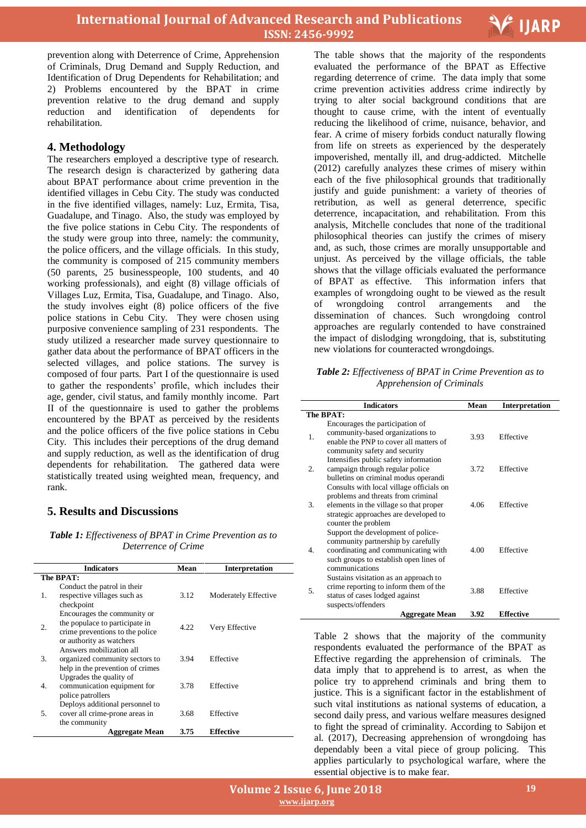

prevention along with Deterrence of Crime, Apprehension of Criminals, Drug Demand and Supply Reduction, and Identification of Drug Dependents for Rehabilitation; and 2) Problems encountered by the BPAT in crime prevention relative to the drug demand and supply reduction and identification of dependents for rehabilitation.

## **4. Methodology**

The researchers employed a descriptive type of research. The research design is characterized by gathering data about BPAT performance about crime prevention in the identified villages in Cebu City. The study was conducted in the five identified villages, namely: Luz, Ermita, Tisa, Guadalupe, and Tinago. Also, the study was employed by the five police stations in Cebu City. The respondents of the study were group into three, namely: the community, the police officers, and the village officials. In this study, the community is composed of 215 community members (50 parents, 25 businesspeople, 100 students, and 40 working professionals), and eight (8) village officials of Villages Luz, Ermita, Tisa, Guadalupe, and Tinago. Also, the study involves eight (8) police officers of the five police stations in Cebu City. They were chosen using purposive convenience sampling of 231 respondents. The study utilized a researcher made survey questionnaire to gather data about the performance of BPAT officers in the selected villages, and police stations. The survey is composed of four parts. Part I of the questionnaire is used to gather the respondents' profile, which includes their age, gender, civil status, and family monthly income. Part II of the questionnaire is used to gather the problems encountered by the BPAT as perceived by the residents and the police officers of the five police stations in Cebu City. This includes their perceptions of the drug demand and supply reduction, as well as the identification of drug dependents for rehabilitation. The gathered data were statistically treated using weighted mean, frequency, and rank.

## **5. Results and Discussions**

*Table 1: Effectiveness of BPAT in Crime Prevention as to Deterrence of Crime*

|    | <b>Indicators</b>                                                                                                            | Mean | <b>Interpretation</b> |
|----|------------------------------------------------------------------------------------------------------------------------------|------|-----------------------|
|    | The BPAT:                                                                                                                    |      |                       |
| 1. | Conduct the patrol in their<br>respective villages such as<br>checkpoint                                                     | 3.12 | Moderately Effective  |
| 2. | Encourages the community or<br>the populace to participate in<br>crime preventions to the police<br>or authority as watchers | 4.22 | Very Effective        |
| 3. | Answers mobilization all<br>organized community sectors to<br>help in the prevention of crimes                               | 3.94 | Effective             |
| 4. | Upgrades the quality of<br>communication equipment for<br>police patrollers                                                  | 3.78 | Effective             |
| 5. | Deploys additional personnel to<br>cover all crime-prone areas in<br>the community                                           | 3.68 | Effective             |
|    | <b>Aggregate Mean</b>                                                                                                        | 3.75 | <b>Effective</b>      |

 The table shows that the majority of the respondents evaluated the performance of the BPAT as Effective regarding deterrence of crime. The data imply that some crime prevention activities address crime indirectly by trying to alter social background conditions that are thought to cause crime, with the intent of eventually reducing the likelihood of crime, nuisance, behavior, and fear. A crime of misery forbids conduct naturally flowing from life on streets as experienced by the desperately impoverished, mentally ill, and drug-addicted. Mitchelle (2012) carefully analyzes these crimes of misery within each of the five philosophical grounds that traditionally justify and guide punishment: a variety of theories of retribution, as well as general deterrence, specific deterrence, incapacitation, and rehabilitation. From this analysis, Mitchelle concludes that none of the traditional philosophical theories can justify the crimes of misery and, as such, those crimes are morally unsupportable and unjust. As perceived by the village officials, the table shows that the village officials evaluated the performance of BPAT as effective. This information infers that examples of wrongdoing ought to be viewed as the result of wrongdoing control arrangements and the dissemination of chances. Such wrongdoing control approaches are regularly contended to have constrained the impact of dislodging wrongdoing, that is, substituting new violations for counteracted wrongdoings.

*Table 2: Effectiveness of BPAT in Crime Prevention as to Apprehension of Criminals*

|    | <b>Indicators</b>                                                                                                                                                                        | Mean | <b>Interpretation</b> |
|----|------------------------------------------------------------------------------------------------------------------------------------------------------------------------------------------|------|-----------------------|
|    | The BPAT:                                                                                                                                                                                |      |                       |
| 1. | Encourages the participation of<br>community-based organizations to<br>enable the PNP to cover all matters of<br>community safety and security                                           | 3.93 | Effective             |
| 2. | Intensifies public safety information<br>campaign through regular police<br>bulletins on criminal modus operandi                                                                         | 3.72 | Effective             |
| 3. | Consults with local village officials on<br>problems and threats from criminal<br>elements in the village so that proper<br>strategic approaches are developed to<br>counter the problem | 4.06 | Effective             |
| 4. | Support the development of police-<br>community partnership by carefully<br>coordinating and communicating with<br>such groups to establish open lines of<br>communications              | 4.00 | Effective             |
| 5. | Sustains visitation as an approach to<br>crime reporting to inform them of the<br>status of cases lodged against<br>suspects/offenders                                                   | 3.88 | Effective             |
|    | <b>Aggregate Mean</b>                                                                                                                                                                    | 3.92 | <b>Effective</b>      |

Table 2 shows that the majority of the community respondents evaluated the performance of the BPAT as Effective regarding the apprehension of criminals. The data imply that to apprehend is to arrest, as when the police try to apprehend criminals and bring them to justice. This is a significant factor in the establishment of such vital institutions as national systems of education, a second daily press, and various welfare measures designed to fight the spread of criminality. According to Sabijon et al. (2017), Decreasing apprehension of wrongdoing has dependably been a vital piece of group policing. This applies particularly to psychological warfare, where the essential objective is to make fear.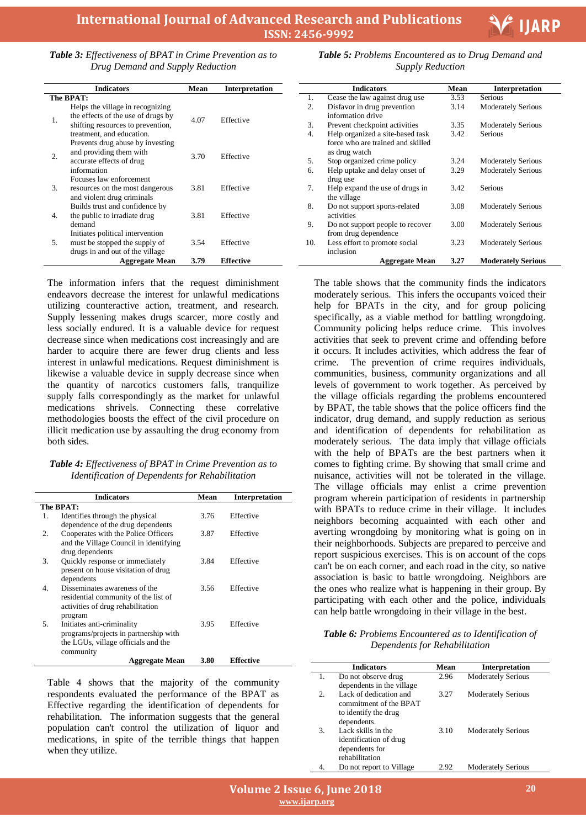

*Table 3: Effectiveness of BPAT in Crime Prevention as to Drug Demand and Supply Reduction*

|    | <b>Indicators</b>                                                                                                                        | Mean | <b>Interpretation</b> |
|----|------------------------------------------------------------------------------------------------------------------------------------------|------|-----------------------|
|    | The BPAT:                                                                                                                                |      |                       |
| 1. | Helps the village in recognizing<br>the effects of the use of drugs by<br>shifting resources to prevention,<br>treatment, and education. | 4.07 | Effective             |
| 2. | Prevents drug abuse by investing<br>and providing them with<br>accurate effects of drug<br>information                                   | 3.70 | Effective             |
| 3. | Focuses law enforcement<br>resources on the most dangerous<br>and violent drug criminals                                                 | 3.81 | Effective             |
| 4. | Builds trust and confidence by<br>the public to irradiate drug<br>demand                                                                 | 3.81 | Effective             |
| 5. | Initiates political intervention<br>must be stopped the supply of<br>drugs in and out of the village                                     | 3.54 | Effective             |
|    | <b>Aggregate Mean</b>                                                                                                                    | 3.79 | Effective             |

The information infers that the request diminishment endeavors decrease the interest for unlawful medications utilizing counteractive action, treatment, and research. Supply lessening makes drugs scarcer, more costly and less socially endured. It is a valuable device for request decrease since when medications cost increasingly and are harder to acquire there are fewer drug clients and less interest in unlawful medications. Request diminishment is likewise a valuable device in supply decrease since when the quantity of narcotics customers falls, tranquilize supply falls correspondingly as the market for unlawful medications shrivels. Connecting these correlative methodologies boosts the effect of the civil procedure on illicit medication use by assaulting the drug economy from both sides.

#### *Table 4: Effectiveness of BPAT in Crime Prevention as to Identification of Dependents for Rehabilitation*

|    | <b>Indicators</b>                                                                                                       | Mean | Interpretation |
|----|-------------------------------------------------------------------------------------------------------------------------|------|----------------|
|    | The BPAT:                                                                                                               |      |                |
| 1. | Identifies through the physical<br>dependence of the drug dependents                                                    | 3.76 | Effective      |
| 2. | Cooperates with the Police Officers<br>and the Village Council in identifying<br>drug dependents                        | 3.87 | Effective      |
| 3. | Quickly response or immediately<br>present on house visitation of drug<br>dependents                                    | 3.84 | Effective      |
| 4. | Disseminates awareness of the<br>residential community of the list of<br>activities of drug rehabilitation<br>program   | 3.56 | Effective      |
| 5. | Initiates anti-criminality<br>programs/projects in partnership with<br>the LGUs, village officials and the<br>community | 3.95 | Effective      |
|    | Aggregate Mean                                                                                                          | 3.80 | Effective      |

Table 4 shows that the majority of the community respondents evaluated the performance of the BPAT as Effective regarding the identification of dependents for rehabilitation. The information suggests that the general population can't control the utilization of liquor and medications, in spite of the terrible things that happen when they utilize.

 *Table 5: Problems Encountered as to Drug Demand and Supply Reduction*

|     | <b>Indicators</b>                                                                      | Mean | Interpretation            |
|-----|----------------------------------------------------------------------------------------|------|---------------------------|
| 1.  | Cease the law against drug use                                                         | 3.53 | Serious                   |
| 2.  | Disfavor in drug prevention<br>information drive                                       | 3.14 | <b>Moderately Serious</b> |
| 3.  | Prevent checkpoint activities                                                          | 3.35 | <b>Moderately Serious</b> |
| 4.  | Help organized a site-based task<br>force who are trained and skilled<br>as drug watch | 3.42 | Serious                   |
| 5.  | Stop organized crime policy                                                            | 3.24 | <b>Moderately Serious</b> |
| 6.  | Help uptake and delay onset of<br>drug use                                             | 3.29 | <b>Moderately Serious</b> |
| 7.  | Help expand the use of drugs in<br>the village                                         | 3.42 | Serious                   |
| 8.  | Do not support sports-related<br>activities                                            | 3.08 | <b>Moderately Serious</b> |
| 9.  | Do not support people to recover<br>from drug dependence                               | 3.00 | <b>Moderately Serious</b> |
| 10. | Less effort to promote social<br>inclusion                                             | 3.23 | <b>Moderately Serious</b> |
|     | Aggregate Mean                                                                         | 3.27 | <b>Moderately Serious</b> |

The table shows that the community finds the indicators moderately serious. This infers the occupants voiced their help for BPATs in the city, and for group policing specifically, as a viable method for battling wrongdoing. Community policing helps reduce crime. This involves activities that seek to prevent crime and offending before it occurs. It includes activities, which address the fear of crime. The prevention of crime requires individuals, communities, business, community organizations and all levels of government to work together. As perceived by the village officials regarding the problems encountered by BPAT, the table shows that the police officers find the indicator, drug demand, and supply reduction as serious and identification of dependents for rehabilitation as moderately serious. The data imply that village officials with the help of BPATs are the best partners when it comes to fighting crime. By showing that small crime and nuisance, activities will not be tolerated in the village. The village officials may enlist a crime prevention program wherein participation of residents in partnership with BPATs to reduce crime in their village. It includes neighbors becoming acquainted with each other and averting wrongdoing by monitoring what is going on in their neighborhoods. Subjects are prepared to perceive and report suspicious exercises. This is on account of the cops can't be on each corner, and each road in the city, so native association is basic to battle wrongdoing. Neighbors are the ones who realize what is happening in their group. By participating with each other and the police, individuals can help battle wrongdoing in their village in the best.

*Table 6: Problems Encountered as to Identification of Dependents for Rehabilitation*

|                | <b>Indicators</b>         | Mean | <b>Interpretation</b>     |
|----------------|---------------------------|------|---------------------------|
| 1.             | Do not observe drug       | 2.96 | <b>Moderately Serious</b> |
|                | dependents in the village |      |                           |
| $\mathfrak{D}$ | Lack of dedication and    | 3.27 | <b>Moderately Serious</b> |
|                | commitment of the BPAT    |      |                           |
|                | to identify the drug      |      |                           |
|                | dependents.               |      |                           |
| 3.             | Lack skills in the        | 3.10 | <b>Moderately Serious</b> |
|                | identification of drug    |      |                           |
|                | dependents for            |      |                           |
|                | rehabilitation            |      |                           |
|                | Do not report to Village  | 2.92 | <b>Moderately Serious</b> |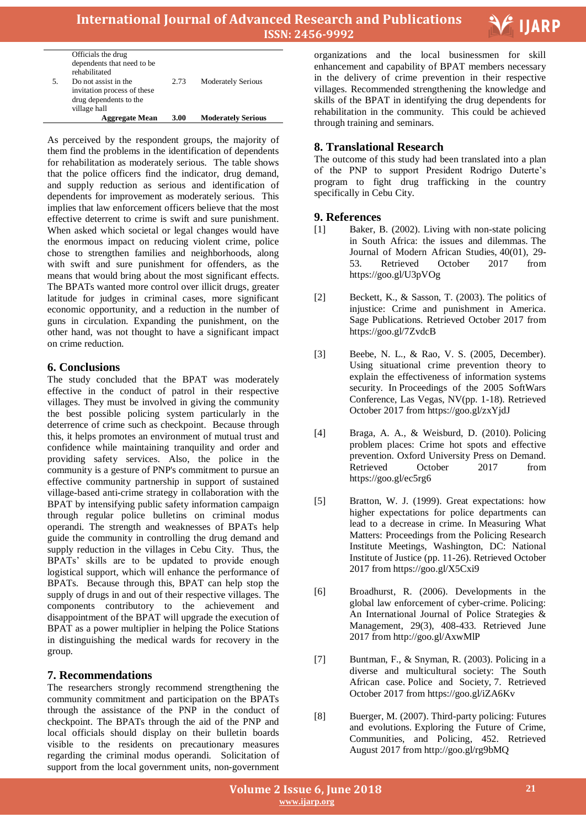

|    | <b>Aggregate Mean</b>       | 3.00 | <b>Moderately Serious</b> |
|----|-----------------------------|------|---------------------------|
|    | village hall                |      |                           |
|    | drug dependents to the      |      |                           |
|    | invitation process of these |      |                           |
| 5. | Do not assist in the        | 2.73 | <b>Moderately Serious</b> |
|    | rehabilitated               |      |                           |
|    | dependents that need to be  |      |                           |
|    | Officials the drug          |      |                           |

As perceived by the respondent groups, the majority of them find the problems in the identification of dependents for rehabilitation as moderately serious. The table shows that the police officers find the indicator, drug demand, and supply reduction as serious and identification of dependents for improvement as moderately serious. This implies that law enforcement officers believe that the most effective deterrent to crime is swift and sure punishment. When asked which societal or legal changes would have the enormous impact on reducing violent crime, police chose to strengthen families and neighborhoods, along with swift and sure punishment for offenders, as the means that would bring about the most significant effects. The BPATs wanted more control over illicit drugs, greater latitude for judges in criminal cases, more significant economic opportunity, and a reduction in the number of guns in circulation. Expanding the punishment, on the other hand, was not thought to have a significant impact on crime reduction.

## **6. Conclusions**

The study concluded that the BPAT was moderately effective in the conduct of patrol in their respective villages. They must be involved in giving the community the best possible policing system particularly in the deterrence of crime such as checkpoint. Because through this, it helps promotes an environment of mutual trust and confidence while maintaining tranquility and order and providing safety services. Also, the police in the community is a gesture of PNP's commitment to pursue an effective community partnership in support of sustained village-based anti-crime strategy in collaboration with the BPAT by intensifying public safety information campaign through regular police bulletins on criminal modus operandi. The strength and weaknesses of BPATs help guide the community in controlling the drug demand and supply reduction in the villages in Cebu City. Thus, the BPATs' skills are to be updated to provide enough logistical support, which will enhance the performance of BPATs. Because through this, BPAT can help stop the supply of drugs in and out of their respective villages. The components contributory to the achievement and disappointment of the BPAT will upgrade the execution of BPAT as a power multiplier in helping the Police Stations in distinguishing the medical wards for recovery in the group.

# **7. Recommendations**

The researchers strongly recommend strengthening the community commitment and participation on the BPATs through the assistance of the PNP in the conduct of checkpoint. The BPATs through the aid of the PNP and local officials should display on their bulletin boards visible to the residents on precautionary measures regarding the criminal modus operandi. Solicitation of support from the local government units, non-government

 organizations and the local businessmen for skill enhancement and capability of BPAT members necessary in the delivery of crime prevention in their respective villages. Recommended strengthening the knowledge and skills of the BPAT in identifying the drug dependents for rehabilitation in the community. This could be achieved through training and seminars.

# **8. Translational Research**

The outcome of this study had been translated into a plan of the PNP to support President Rodrigo Duterte's program to fight drug trafficking in the country specifically in Cebu City.

# **9. References**

- [1] Baker, B. (2002). Living with non-state policing in South Africa: the issues and dilemmas. The Journal of Modern African Studies, 40(01), 29- 53. Retrieved October 2017 from https://goo.gl/U3pVOg
- [2] Beckett, K., & Sasson, T. (2003). The politics of injustice: Crime and punishment in America. Sage Publications. Retrieved October 2017 from https://goo.gl/7ZvdcB
- [3] Beebe, N. L., & Rao, V. S. (2005, December). Using situational crime prevention theory to explain the effectiveness of information systems security. In Proceedings of the 2005 SoftWars Conference, Las Vegas, NV(pp. 1-18). Retrieved October 2017 from https://goo.gl/zxYjdJ
- [4] Braga, A. A., & Weisburd, D. (2010). Policing problem places: Crime hot spots and effective prevention. Oxford University Press on Demand. Retrieved October 2017 from https://goo.gl/ec5rg6
- [5] Bratton, W. J. (1999). Great expectations: how higher expectations for police departments can lead to a decrease in crime. In Measuring What Matters: Proceedings from the Policing Research Institute Meetings, Washington, DC: National Institute of Justice (pp. 11-26). Retrieved October 2017 from https://goo.gl/X5Cxi9
- [6] Broadhurst, R. (2006). Developments in the global law enforcement of cyber-crime. Policing: An International Journal of Police Strategies & Management, 29(3), 408-433. Retrieved June 2017 from http://goo.gl/AxwMlP
- [7] Buntman, F., & Snyman, R. (2003). Policing in a diverse and multicultural society: The South African case. Police and Society, 7. Retrieved October 2017 from https://goo.gl/iZA6Kv
- [8] Buerger, M. (2007). Third-party policing: Futures and evolutions. Exploring the Future of Crime, Communities, and Policing, 452. Retrieved August 2017 from http://goo.gl/rg9bMQ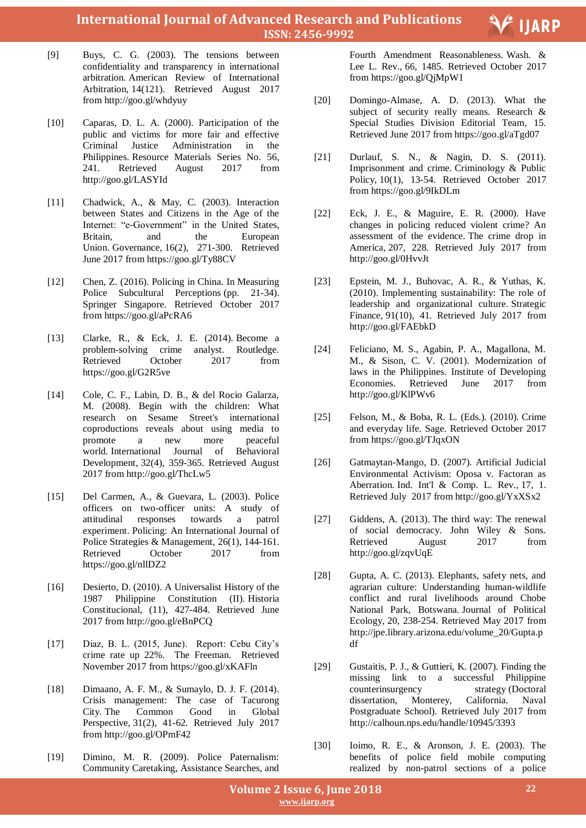**International Journal of Advanced Research and Publications ISSN: 2456-9992**

- [9] Buys, C. G. (2003). The tensions between confidentiality and transparency in international arbitration. American Review of International Arbitration, 14(121). Retrieved August 2017 from http://goo.gl/whdyuy
- [10] Caparas, D. L. A. (2000). Participation of the public and victims for more fair and effective Criminal Justice Administration in the Philippines. Resource Materials Series No. 56, 241. Retrieved August 2017 from http://goo.gl/LASYId
- [11] Chadwick, A., & May, C. (2003). Interaction between States and Citizens in the Age of the Internet: "e-Government" in the United States, Britain, and the European Union. Governance, 16(2), 271-300. Retrieved June 2017 from https://goo.gl/Ty88CV
- [12] Chen, Z. (2016). Policing in China. In Measuring Police Subcultural Perceptions (pp. 21-34). Springer Singapore. Retrieved October 2017 from https://goo.gl/aPcRA6
- [13] Clarke, R., & Eck, J. E. (2014). Become a problem-solving crime analyst. Routledge. Retrieved October 2017 from https://goo.gl/G2R5ve
- [14] Cole, C. F., Labin, D. B., & del Rocio Galarza, M. (2008). Begin with the children: What research on Sesame Street's international coproductions reveals about using media to promote a new more peaceful world. International Journal of Behavioral Development, 32(4), 359-365. Retrieved August 2017 from http://goo.gl/ThcLw5
- [15] Del Carmen, A., & Guevara, L. (2003). Police officers on two-officer units: A study of attitudinal responses towards a patrol experiment. Policing: An International Journal of Police Strategies & Management, 26(1), 144-161. Retrieved October 2017 from https://goo.gl/nllDZ2
- [16] Desierto, D. (2010). A Universalist History of the 1987 Philippine Constitution (II). Historia Constitucional, (11), 427-484. Retrieved June 2017 from http://goo.gl/eBnPCQ
- [17] Diaz, B. L. (2015, June). Report: Cebu City's crime rate up 22%. The Freeman. Retrieved November 2017 from https://goo.gl/xKAFln
- [18] Dimaano, A. F. M., & Sumaylo, D. J. F. (2014). Crisis management: The case of Tacurong City. The Common Good in Global Perspective, 31(2), 41-62. Retrieved July 2017 from http://goo.gl/OPmF42
- [19] Dimino, M. R. (2009). Police Paternalism: Community Caretaking, Assistance Searches, and

 Fourth Amendment Reasonableness. Wash. & Lee L. Rev., 66, 1485. Retrieved October 2017 from https://goo.gl/QjMpW1

V IJARP

- [20] Domingo-Almase, A. D. (2013). What the subject of security really means. Research & Special Studies Division Editorial Team, 15. Retrieved June 2017 from https://goo.gl/aTgd07
- [21] Durlauf, S. N., & Nagin, D. S. (2011). Imprisonment and crime. Criminology & Public Policy, 10(1), 13-54. Retrieved October 2017 from https://goo.gl/9IkDLm
- [22] Eck, J. E., & Maguire, E. R. (2000). Have changes in policing reduced violent crime? An assessment of the evidence. The crime drop in America, 207, 228. Retrieved July 2017 from http://goo.gl/0HvvJt
- [23] Epstein, M. J., Buhovac, A. R., & Yuthas, K. (2010). Implementing sustainability: The role of leadership and organizational culture. Strategic Finance, 91(10), 41. Retrieved July 2017 from http://goo.gl/FAEbkD
- [24] Feliciano, M. S., Agabin, P. A., Magallona, M. M., & Sison, C. V. (2001). Modernization of laws in the Philippines. Institute of Developing Economies. Retrieved June 2017 from http://goo.gl/KlPWv6
- [25] Felson, M., & Boba, R. L. (Eds.). (2010). Crime and everyday life. Sage. Retrieved October 2017 from https://goo.gl/TJqxON
- [26] Gatmaytan-Mango, D. (2007). Artificial Judicial Environmental Activism: Oposa v. Factoran as Aberration. Ind. Int'l & Comp. L. Rev., 17, 1. Retrieved July 2017 from http://goo.gl/YxXSx2
- [27] Giddens, A. (2013). The third way: The renewal of social democracy. John Wiley & Sons. Retrieved August 2017 from http://goo.gl/zqvUqE
- [28] Gupta, A. C. (2013). Elephants, safety nets, and agrarian culture: Understanding human-wildlife conflict and rural livelihoods around Chobe National Park, Botswana. Journal of Political Ecology, 20, 238-254. Retrieved May 2017 from http://jpe.library.arizona.edu/volume\_20/Gupta.p df
- [29] Gustaitis, P. J., & Guttieri, K. (2007). Finding the missing link to a successful Philippine counterinsurgency strategy (Doctoral dissertation, Monterey, California. Naval Postgraduate School). Retrieved July 2017 from http://calhoun.nps.edu/handle/10945/3393
- [30] Ioimo, R. E., & Aronson, J. E. (2003). The benefits of police field mobile computing realized by non-patrol sections of a police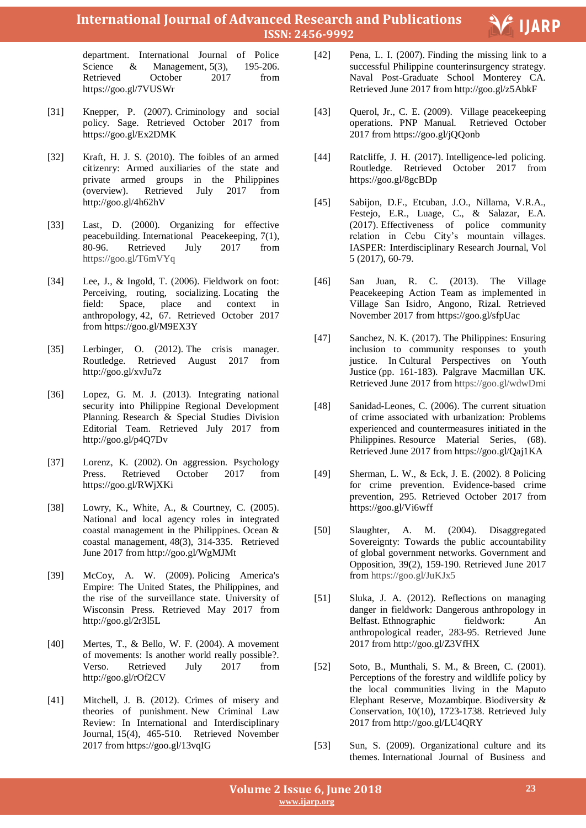# **International Journal of Advanced Research and Publications ISSN: 2456-9992**

department. International Journal of Police Science & Management, 5(3), 195-206. Retrieved October 2017 from https://goo.gl/7VUSWr

- [31] Knepper, P. (2007). Criminology and social policy. Sage. Retrieved October 2017 from https://goo.gl/Ex2DMK
- [32] Kraft, H. J. S. (2010). The foibles of an armed citizenry: Armed auxiliaries of the state and private armed groups in the Philippines (overview). Retrieved July 2017 from http://goo.gl/4h62hV
- [33] Last, D. (2000). Organizing for effective peacebuilding. International Peacekeeping, 7(1), 80-96. Retrieved July 2017 from https://goo.gl/T6mVYq
- [34] Lee, J., & Ingold, T. (2006). Fieldwork on foot: Perceiving, routing, socializing. Locating the field: Space, place and context in anthropology, 42, 67. Retrieved October 2017 from https://goo.gl/M9EX3Y
- [35] Lerbinger, O. (2012). The crisis manager. Routledge. Retrieved August 2017 from http://goo.gl/xvJu7z
- [36] Lopez, G. M. J. (2013). Integrating national security into Philippine Regional Development Planning. Research & Special Studies Division Editorial Team. Retrieved July 2017 from http://goo.gl/p4Q7Dv
- [37] Lorenz, K. (2002). On aggression. Psychology Press. Retrieved October 2017 from https://goo.gl/RWjXKi
- [38] Lowry, K., White, A., & Courtney, C. (2005). National and local agency roles in integrated coastal management in the Philippines. Ocean & coastal management, 48(3), 314-335. Retrieved June 2017 from http://goo.gl/WgMJMt
- [39] McCoy, A. W. (2009). Policing America's Empire: The United States, the Philippines, and the rise of the surveillance state. University of Wisconsin Press. Retrieved May 2017 from http://goo.gl/2r3l5L
- [40] Mertes, T., & Bello, W. F. (2004). A movement of movements: Is another world really possible?. Verso. Retrieved July 2017 from http://goo.gl/rOf2CV
- [41] Mitchell, J. B. (2012). Crimes of misery and theories of punishment. New Criminal Law Review: In International and Interdisciplinary Journal, 15(4), 465-510. Retrieved November 2017 from https://goo.gl/13vqIG

 [42] Pena, L. I. (2007). Finding the missing link to a successful Philippine counterinsurgency strategy. Naval Post-Graduate School Monterey CA. Retrieved June 2017 from http://goo.gl/z5AbkF

V IJARP

- [43] Querol, Jr., C. E. (2009). Village peacekeeping operations. PNP Manual. Retrieved October 2017 from https://goo.gl/jQQonb
- [44] Ratcliffe, J. H. (2017). Intelligence-led policing. Routledge. Retrieved October 2017 from https://goo.gl/8gcBDp
- [45] Sabijon, D.F., Etcuban, J.O., Nillama, V.R.A., Festejo, E.R., Luage, C., & Salazar, E.A. (2017). Effectiveness of police community relation in Cebu City's mountain villages. IASPER: Interdisciplinary Research Journal, Vol 5 (2017), 60-79.
- [46] San Juan, R. C. (2013). The Village Peacekeeping Action Team as implemented in Village San Isidro, Angono, Rizal. Retrieved November 2017 from https://goo.gl/sfpUac
- [47] Sanchez, N. K. (2017). The Philippines: Ensuring inclusion to community responses to youth justice. In Cultural Perspectives on Youth Justice (pp. 161-183). Palgrave Macmillan UK. Retrieved June 2017 from https://goo.gl/wdwDmi
- [48] Sanidad-Leones, C. (2006). The current situation of crime associated with urbanization: Problems experienced and countermeasures initiated in the Philippines. Resource Material Series, (68). Retrieved June 2017 from https://goo.gl/Qaj1KA
- [49] Sherman, L. W., & Eck, J. E. (2002). 8 Policing for crime prevention. Evidence-based crime prevention, 295. Retrieved October 2017 from https://goo.gl/Vi6wff
- [50] Slaughter, A. M. (2004). Disaggregated Sovereignty: Towards the public accountability of global government networks. Government and Opposition, 39(2), 159-190. Retrieved June 2017 from https://goo.gl/JuKJx5
- [51] Sluka, J. A. (2012). Reflections on managing danger in fieldwork: Dangerous anthropology in Belfast. Ethnographic fieldwork: An anthropological reader, 283-95. Retrieved June 2017 from http://goo.gl/Z3VfHX
- [52] Soto, B., Munthali, S. M., & Breen, C. (2001). Perceptions of the forestry and wildlife policy by the local communities living in the Maputo Elephant Reserve, Mozambique. Biodiversity & Conservation, 10(10), 1723-1738. Retrieved July 2017 from http://goo.gl/LU4QRY
- [53] Sun, S. (2009). Organizational culture and its themes. International Journal of Business and